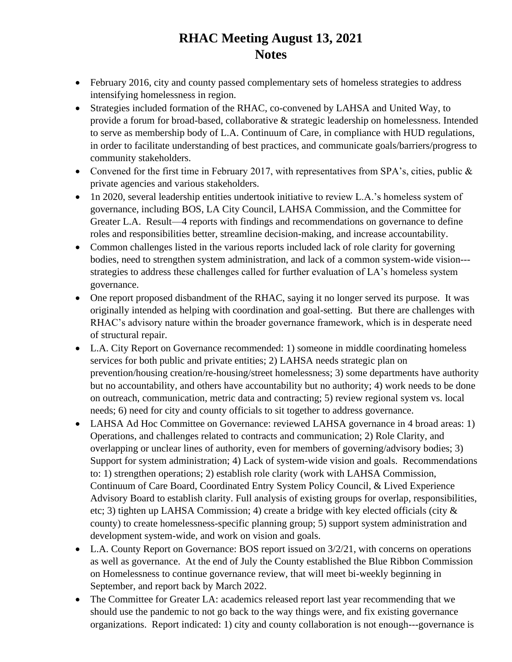## **RHAC Meeting August 13, 2021 Notes**

- February 2016, city and county passed complementary sets of homeless strategies to address intensifying homelessness in region.
- Strategies included formation of the RHAC, co-convened by LAHSA and United Way, to provide a forum for broad-based, collaborative & strategic leadership on homelessness. Intended to serve as membership body of L.A. Continuum of Care, in compliance with HUD regulations, in order to facilitate understanding of best practices, and communicate goals/barriers/progress to community stakeholders.
- Convened for the first time in February 2017, with representatives from SPA's, cities, public  $\&$ private agencies and various stakeholders.
- 1n 2020, several leadership entities undertook initiative to review L.A.'s homeless system of governance, including BOS, LA City Council, LAHSA Commission, and the Committee for Greater L.A. Result—4 reports with findings and recommendations on governance to define roles and responsibilities better, streamline decision-making, and increase accountability.
- Common challenges listed in the various reports included lack of role clarity for governing bodies, need to strengthen system administration, and lack of a common system-wide vision-- strategies to address these challenges called for further evaluation of LA's homeless system governance.
- One report proposed disbandment of the RHAC, saying it no longer served its purpose. It was originally intended as helping with coordination and goal-setting. But there are challenges with RHAC's advisory nature within the broader governance framework, which is in desperate need of structural repair.
- L.A. City Report on Governance recommended: 1) someone in middle coordinating homeless services for both public and private entities; 2) LAHSA needs strategic plan on prevention/housing creation/re-housing/street homelessness; 3) some departments have authority but no accountability, and others have accountability but no authority; 4) work needs to be done on outreach, communication, metric data and contracting; 5) review regional system vs. local needs; 6) need for city and county officials to sit together to address governance.
- LAHSA Ad Hoc Committee on Governance: reviewed LAHSA governance in 4 broad areas: 1) Operations, and challenges related to contracts and communication; 2) Role Clarity, and overlapping or unclear lines of authority, even for members of governing/advisory bodies; 3) Support for system administration; 4) Lack of system-wide vision and goals. Recommendations to: 1) strengthen operations; 2) establish role clarity (work with LAHSA Commission, Continuum of Care Board, Coordinated Entry System Policy Council, & Lived Experience Advisory Board to establish clarity. Full analysis of existing groups for overlap, responsibilities, etc; 3) tighten up LAHSA Commission; 4) create a bridge with key elected officials (city & county) to create homelessness-specific planning group; 5) support system administration and development system-wide, and work on vision and goals.
- L.A. County Report on Governance: BOS report issued on  $3/2/21$ , with concerns on operations as well as governance. At the end of July the County established the Blue Ribbon Commission on Homelessness to continue governance review, that will meet bi-weekly beginning in September, and report back by March 2022.
- The Committee for Greater LA: academics released report last year recommending that we should use the pandemic to not go back to the way things were, and fix existing governance organizations. Report indicated: 1) city and county collaboration is not enough---governance is